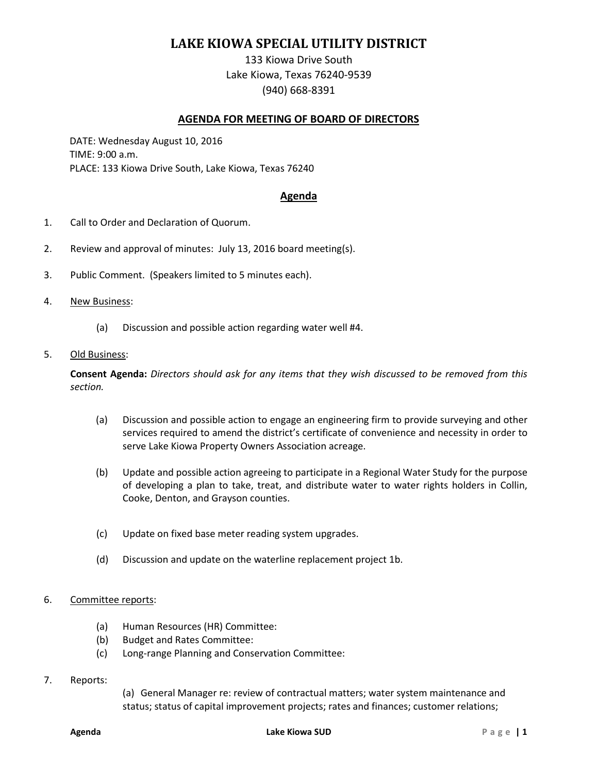## **LAKE KIOWA SPECIAL UTILITY DISTRICT**

133 Kiowa Drive South Lake Kiowa, Texas 76240-9539 (940) 668-8391

## **AGENDA FOR MEETING OF BOARD OF DIRECTORS**

DATE: Wednesday August 10, 2016 TIME: 9:00 a.m. PLACE: 133 Kiowa Drive South, Lake Kiowa, Texas 76240

## **Agenda**

- 1. Call to Order and Declaration of Quorum.
- 2. Review and approval of minutes: July 13, 2016 board meeting(s).
- 3. Public Comment. (Speakers limited to 5 minutes each).
- 4. New Business:
	- (a) Discussion and possible action regarding water well #4.
- 5. Old Business:

**Consent Agenda:** *Directors should ask for any items that they wish discussed to be removed from this section.*

- (a) Discussion and possible action to engage an engineering firm to provide surveying and other services required to amend the district's certificate of convenience and necessity in order to serve Lake Kiowa Property Owners Association acreage.
- (b) Update and possible action agreeing to participate in a Regional Water Study for the purpose of developing a plan to take, treat, and distribute water to water rights holders in Collin, Cooke, Denton, and Grayson counties.
- (c) Update on fixed base meter reading system upgrades.
- (d) Discussion and update on the waterline replacement project 1b.

## 6. Committee reports:

- (a) Human Resources (HR) Committee:
- (b) Budget and Rates Committee:
- (c) Long-range Planning and Conservation Committee:
- 7. Reports:

(a) General Manager re: review of contractual matters; water system maintenance and status; status of capital improvement projects; rates and finances; customer relations;